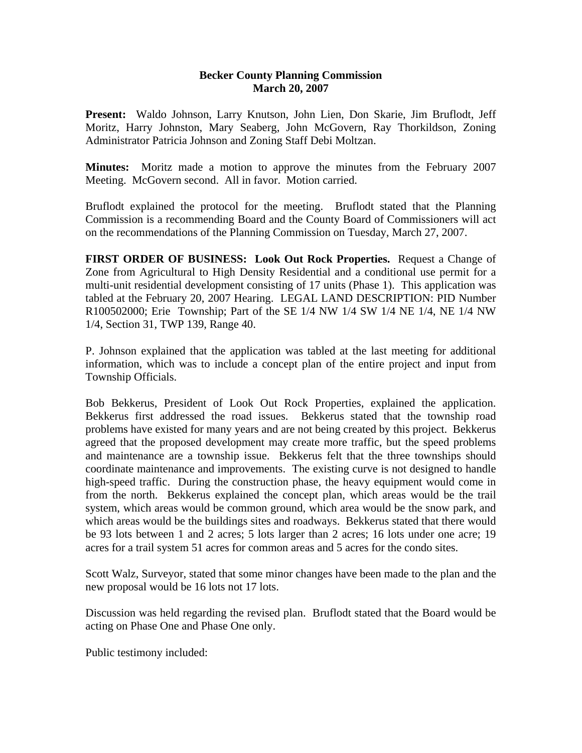## **Becker County Planning Commission March 20, 2007**

**Present:** Waldo Johnson, Larry Knutson, John Lien, Don Skarie, Jim Bruflodt, Jeff Moritz, Harry Johnston, Mary Seaberg, John McGovern, Ray Thorkildson, Zoning Administrator Patricia Johnson and Zoning Staff Debi Moltzan.

**Minutes:** Moritz made a motion to approve the minutes from the February 2007 Meeting. McGovern second. All in favor. Motion carried.

Bruflodt explained the protocol for the meeting. Bruflodt stated that the Planning Commission is a recommending Board and the County Board of Commissioners will act on the recommendations of the Planning Commission on Tuesday, March 27, 2007.

**FIRST ORDER OF BUSINESS: Look Out Rock Properties.** Request a Change of Zone from Agricultural to High Density Residential and a conditional use permit for a multi-unit residential development consisting of 17 units (Phase 1). This application was tabled at the February 20, 2007 Hearing. LEGAL LAND DESCRIPTION: PID Number R100502000; Erie Township; Part of the SE 1/4 NW 1/4 SW 1/4 NE 1/4, NE 1/4 NW 1/4, Section 31, TWP 139, Range 40.

P. Johnson explained that the application was tabled at the last meeting for additional information, which was to include a concept plan of the entire project and input from Township Officials.

Bob Bekkerus, President of Look Out Rock Properties, explained the application. Bekkerus first addressed the road issues. Bekkerus stated that the township road problems have existed for many years and are not being created by this project. Bekkerus agreed that the proposed development may create more traffic, but the speed problems and maintenance are a township issue. Bekkerus felt that the three townships should coordinate maintenance and improvements. The existing curve is not designed to handle high-speed traffic. During the construction phase, the heavy equipment would come in from the north. Bekkerus explained the concept plan, which areas would be the trail system, which areas would be common ground, which area would be the snow park, and which areas would be the buildings sites and roadways. Bekkerus stated that there would be 93 lots between 1 and 2 acres; 5 lots larger than 2 acres; 16 lots under one acre; 19 acres for a trail system 51 acres for common areas and 5 acres for the condo sites.

Scott Walz, Surveyor, stated that some minor changes have been made to the plan and the new proposal would be 16 lots not 17 lots.

Discussion was held regarding the revised plan. Bruflodt stated that the Board would be acting on Phase One and Phase One only.

Public testimony included: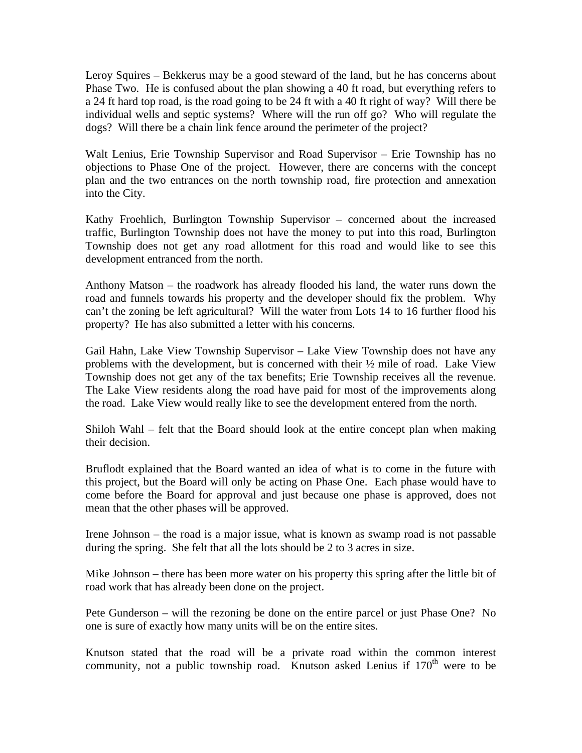Leroy Squires – Bekkerus may be a good steward of the land, but he has concerns about Phase Two. He is confused about the plan showing a 40 ft road, but everything refers to a 24 ft hard top road, is the road going to be 24 ft with a 40 ft right of way? Will there be individual wells and septic systems? Where will the run off go? Who will regulate the dogs? Will there be a chain link fence around the perimeter of the project?

Walt Lenius, Erie Township Supervisor and Road Supervisor – Erie Township has no objections to Phase One of the project. However, there are concerns with the concept plan and the two entrances on the north township road, fire protection and annexation into the City.

Kathy Froehlich, Burlington Township Supervisor – concerned about the increased traffic, Burlington Township does not have the money to put into this road, Burlington Township does not get any road allotment for this road and would like to see this development entranced from the north.

Anthony Matson – the roadwork has already flooded his land, the water runs down the road and funnels towards his property and the developer should fix the problem. Why can't the zoning be left agricultural? Will the water from Lots 14 to 16 further flood his property? He has also submitted a letter with his concerns.

Gail Hahn, Lake View Township Supervisor – Lake View Township does not have any problems with the development, but is concerned with their  $\frac{1}{2}$  mile of road. Lake View Township does not get any of the tax benefits; Erie Township receives all the revenue. The Lake View residents along the road have paid for most of the improvements along the road. Lake View would really like to see the development entered from the north.

Shiloh Wahl – felt that the Board should look at the entire concept plan when making their decision.

Bruflodt explained that the Board wanted an idea of what is to come in the future with this project, but the Board will only be acting on Phase One. Each phase would have to come before the Board for approval and just because one phase is approved, does not mean that the other phases will be approved.

Irene Johnson – the road is a major issue, what is known as swamp road is not passable during the spring. She felt that all the lots should be 2 to 3 acres in size.

Mike Johnson – there has been more water on his property this spring after the little bit of road work that has already been done on the project.

Pete Gunderson – will the rezoning be done on the entire parcel or just Phase One? No one is sure of exactly how many units will be on the entire sites.

Knutson stated that the road will be a private road within the common interest community, not a public township road. Knutson asked Lenius if  $170<sup>th</sup>$  were to be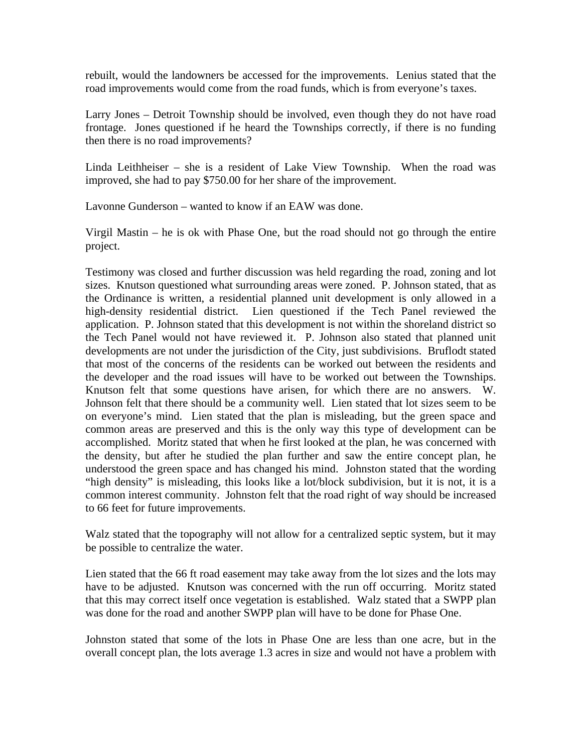rebuilt, would the landowners be accessed for the improvements. Lenius stated that the road improvements would come from the road funds, which is from everyone's taxes.

Larry Jones – Detroit Township should be involved, even though they do not have road frontage. Jones questioned if he heard the Townships correctly, if there is no funding then there is no road improvements?

Linda Leithheiser – she is a resident of Lake View Township. When the road was improved, she had to pay \$750.00 for her share of the improvement.

Lavonne Gunderson – wanted to know if an EAW was done.

Virgil Mastin – he is ok with Phase One, but the road should not go through the entire project.

Testimony was closed and further discussion was held regarding the road, zoning and lot sizes. Knutson questioned what surrounding areas were zoned. P. Johnson stated, that as the Ordinance is written, a residential planned unit development is only allowed in a high-density residential district. Lien questioned if the Tech Panel reviewed the application. P. Johnson stated that this development is not within the shoreland district so the Tech Panel would not have reviewed it. P. Johnson also stated that planned unit developments are not under the jurisdiction of the City, just subdivisions. Bruflodt stated that most of the concerns of the residents can be worked out between the residents and the developer and the road issues will have to be worked out between the Townships. Knutson felt that some questions have arisen, for which there are no answers. W. Johnson felt that there should be a community well. Lien stated that lot sizes seem to be on everyone's mind. Lien stated that the plan is misleading, but the green space and common areas are preserved and this is the only way this type of development can be accomplished. Moritz stated that when he first looked at the plan, he was concerned with the density, but after he studied the plan further and saw the entire concept plan, he understood the green space and has changed his mind. Johnston stated that the wording "high density" is misleading, this looks like a lot/block subdivision, but it is not, it is a common interest community. Johnston felt that the road right of way should be increased to 66 feet for future improvements.

Walz stated that the topography will not allow for a centralized septic system, but it may be possible to centralize the water.

Lien stated that the 66 ft road easement may take away from the lot sizes and the lots may have to be adjusted. Knutson was concerned with the run off occurring. Moritz stated that this may correct itself once vegetation is established. Walz stated that a SWPP plan was done for the road and another SWPP plan will have to be done for Phase One.

Johnston stated that some of the lots in Phase One are less than one acre, but in the overall concept plan, the lots average 1.3 acres in size and would not have a problem with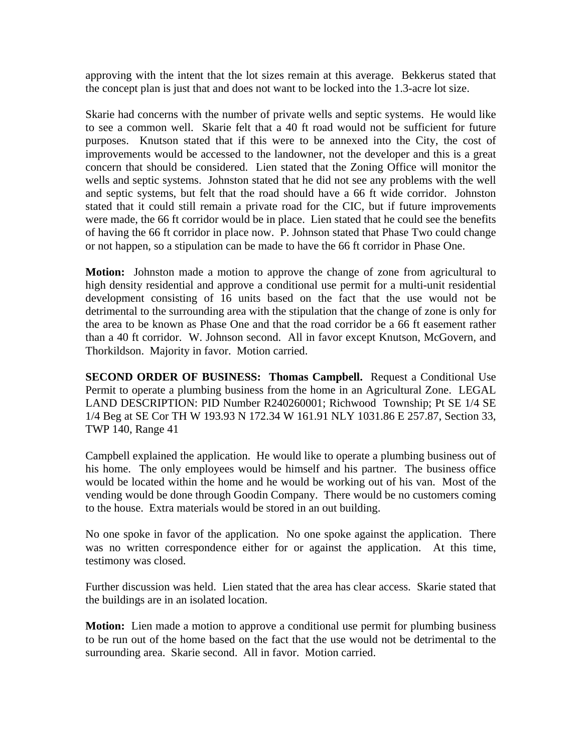approving with the intent that the lot sizes remain at this average. Bekkerus stated that the concept plan is just that and does not want to be locked into the 1.3-acre lot size.

Skarie had concerns with the number of private wells and septic systems. He would like to see a common well. Skarie felt that a 40 ft road would not be sufficient for future purposes. Knutson stated that if this were to be annexed into the City, the cost of improvements would be accessed to the landowner, not the developer and this is a great concern that should be considered. Lien stated that the Zoning Office will monitor the wells and septic systems. Johnston stated that he did not see any problems with the well and septic systems, but felt that the road should have a 66 ft wide corridor. Johnston stated that it could still remain a private road for the CIC, but if future improvements were made, the 66 ft corridor would be in place. Lien stated that he could see the benefits of having the 66 ft corridor in place now. P. Johnson stated that Phase Two could change or not happen, so a stipulation can be made to have the 66 ft corridor in Phase One.

**Motion:** Johnston made a motion to approve the change of zone from agricultural to high density residential and approve a conditional use permit for a multi-unit residential development consisting of 16 units based on the fact that the use would not be detrimental to the surrounding area with the stipulation that the change of zone is only for the area to be known as Phase One and that the road corridor be a 66 ft easement rather than a 40 ft corridor. W. Johnson second. All in favor except Knutson, McGovern, and Thorkildson. Majority in favor. Motion carried.

**SECOND ORDER OF BUSINESS: Thomas Campbell.** Request a Conditional Use Permit to operate a plumbing business from the home in an Agricultural Zone. LEGAL LAND DESCRIPTION: PID Number R240260001; Richwood Township; Pt SE 1/4 SE 1/4 Beg at SE Cor TH W 193.93 N 172.34 W 161.91 NLY 1031.86 E 257.87, Section 33, TWP 140, Range 41

Campbell explained the application. He would like to operate a plumbing business out of his home. The only employees would be himself and his partner. The business office would be located within the home and he would be working out of his van. Most of the vending would be done through Goodin Company. There would be no customers coming to the house. Extra materials would be stored in an out building.

No one spoke in favor of the application. No one spoke against the application. There was no written correspondence either for or against the application. At this time, testimony was closed.

Further discussion was held. Lien stated that the area has clear access. Skarie stated that the buildings are in an isolated location.

**Motion:** Lien made a motion to approve a conditional use permit for plumbing business to be run out of the home based on the fact that the use would not be detrimental to the surrounding area. Skarie second. All in favor. Motion carried.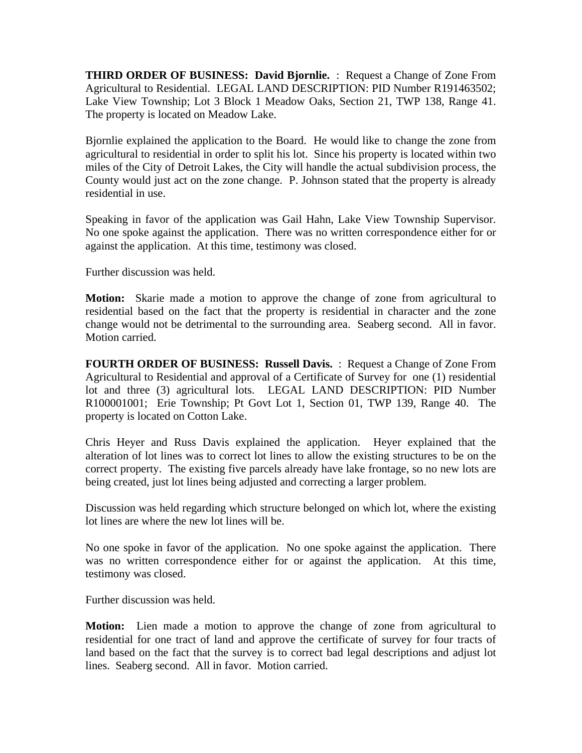**THIRD ORDER OF BUSINESS: David Bjornlie.** : Request a Change of Zone From Agricultural to Residential. LEGAL LAND DESCRIPTION: PID Number R191463502; Lake View Township; Lot 3 Block 1 Meadow Oaks, Section 21, TWP 138, Range 41. The property is located on Meadow Lake.

Bjornlie explained the application to the Board. He would like to change the zone from agricultural to residential in order to split his lot. Since his property is located within two miles of the City of Detroit Lakes, the City will handle the actual subdivision process, the County would just act on the zone change. P. Johnson stated that the property is already residential in use.

Speaking in favor of the application was Gail Hahn, Lake View Township Supervisor. No one spoke against the application. There was no written correspondence either for or against the application. At this time, testimony was closed.

Further discussion was held.

**Motion:** Skarie made a motion to approve the change of zone from agricultural to residential based on the fact that the property is residential in character and the zone change would not be detrimental to the surrounding area. Seaberg second. All in favor. Motion carried.

**FOURTH ORDER OF BUSINESS: Russell Davis.** : Request a Change of Zone From Agricultural to Residential and approval of a Certificate of Survey for one (1) residential lot and three (3) agricultural lots. LEGAL LAND DESCRIPTION: PID Number R100001001; Erie Township; Pt Govt Lot 1, Section 01, TWP 139, Range 40. The property is located on Cotton Lake.

Chris Heyer and Russ Davis explained the application. Heyer explained that the alteration of lot lines was to correct lot lines to allow the existing structures to be on the correct property. The existing five parcels already have lake frontage, so no new lots are being created, just lot lines being adjusted and correcting a larger problem.

Discussion was held regarding which structure belonged on which lot, where the existing lot lines are where the new lot lines will be.

No one spoke in favor of the application. No one spoke against the application. There was no written correspondence either for or against the application. At this time, testimony was closed.

Further discussion was held.

**Motion:** Lien made a motion to approve the change of zone from agricultural to residential for one tract of land and approve the certificate of survey for four tracts of land based on the fact that the survey is to correct bad legal descriptions and adjust lot lines. Seaberg second. All in favor. Motion carried.